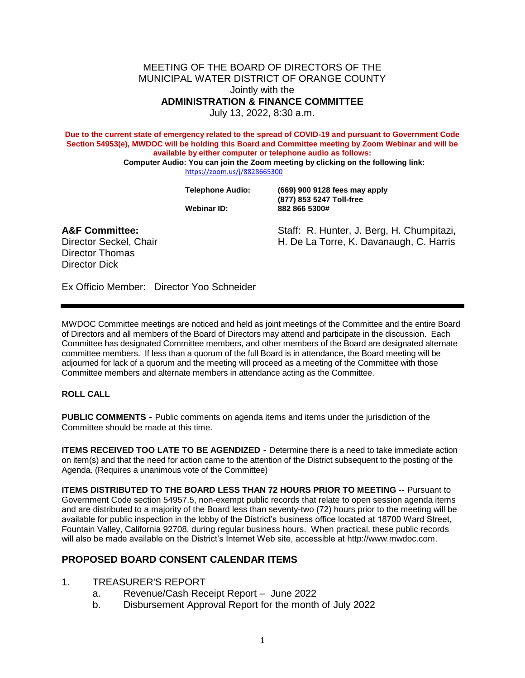MEETING OF THE BOARD OF DIRECTORS OF THE MUNICIPAL WATER DISTRICT OF ORANGE COUNTY Jointly with the **ADMINISTRATION & FINANCE COMMITTEE**

July 13, 2022, 8:30 a.m.

**Due to the current state of emergency related to the spread of COVID-19 and pursuant to Government Code Section 54953(e), MWDOC will be holding this Board and Committee meeting by Zoom Webinar and will be available by either computer or telephone audio as follows:**

**Computer Audio: You can join the Zoom meeting by clicking on the following link:** <https://zoom.us/j/8828665300>

**Telephone Audio: (669) 900 9128 fees may apply (877) 853 5247 Toll-free Webinar ID: 882 866 5300#**

Director Thomas Director Dick

**A&F Committee:** Staff: R. Hunter, J. Berg, H. Chumpitazi, Director Seckel, Chair **H. De La Torre, K. Davanaugh, C. Harris** 

Ex Officio Member: Director Yoo Schneider

MWDOC Committee meetings are noticed and held as joint meetings of the Committee and the entire Board of Directors and all members of the Board of Directors and participate in the discussion. Each Committee has designated Committee members, and other members of the Board are designated alternate committee members. If less than a quotum of the full and is in attendance, the Board meeting will be adjourned for lack of a quorum and the meeting will proceed as a meeting of the Committee with those<br>Committee members and alternate in order the sedance acting as the Committee. Committee members and alternate members Staff: R. H. Her, J. Ber<br>
H. De La Kre, K. Dava<br>
Director Yoo Schneider<br>
Director Yoo Schneider<br>
H. De La Kre, K. Dava<br>
Director Yoo Schneider<br>
Heiss than a quotum and the Board of Direct<br>
Mess than a quorum and the Board

**ROLL CALL**

**PUBLIC COMMENTS** • Public comments on agenda items and items under the jurisdiction of the Committee should be made this time.

**ITEMS RECEIVED TOO LATE TO BE AGENDIZED -** Determine there is a need to take immediate action on item(s) and that the need for action came to the attention of the District subsequent to the posting of the Agenda. (Requires a unanimous vote of the Committee)

**ITEMS DISTRIBUTED TO THE BOARD LESS THAN 72 HOURS PRIOR TO MEETING --** Pursuant to Government Code section 54957.5, non-exempt public records that relate to open session agenda items and are distributed to a majority of the Board less than seventy-two (72) hours prior to the meeting will be available for public inspection in the lobby of the District's business office located at 18700 Ward Street, Fountain Valley, California 92708, during regular business hours. When practical, these public records will also be made available on the District's Internet Web site, accessible at [http://www.mwdoc.com.](http://www.mwdoc.com/)

## **PROPOSED BOARD CONSENT CALENDAR ITEMS**

## 1. TREASURER'S REPORT

- a. Revenue/Cash Receipt Report June 2022
- b. Disbursement Approval Report for the month of July 2022